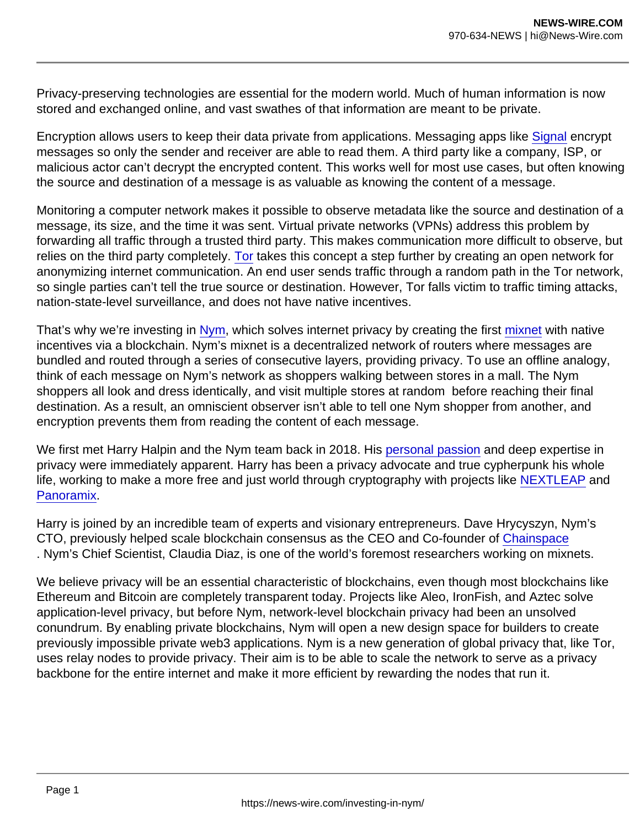Privacy-preserving technologies are essential for the modern world. Much of human information is now stored and exchanged online, and vast swathes of that information are meant to be private.

Encryption allows users to keep their data private from applications. Messaging apps like [Signal](https://signal.org/) encrypt messages so only the sender and receiver are able to read them. A third party like a company, ISP, or malicious actor can't decrypt the encrypted content. This works well for most use cases, but often knowing the source and destination of a message is as valuable as knowing the content of a message.

Monitoring a computer network makes it possible to observe metadata like the source and destination of a message, its size, and the time it was sent. Virtual private networks (VPNs) address this problem by forwarding all traffic through a trusted third party. This makes communication more difficult to observe, but relies on the third party completely. [Tor](https://en.wikipedia.org/wiki/Tor_(network)) takes this concept a step further by creating an open network for anonymizing internet communication. An end user sends traffic through a random path in the Tor network, so single parties can't tell the true source or destination. However, Tor falls victim to traffic timing attacks, nation-state-level surveillance, and does not have native incentives.

That's why we're investing in [Nym,](https://nymtech.net/) which solves internet privacy by creating the first [mixnet](https://en.wikipedia.org/wiki/Mix_network) with native incentives via a blockchain. Nym's mixnet is a decentralized network of routers where messages are bundled and routed through a series of consecutive layers, providing privacy. To use an offline analogy, think of each message on Nym's network as shoppers walking between stores in a mall. The Nym shoppers all look and dress identically, and visit multiple stores at random before reaching their final destination. As a result, an omniscient observer isn't able to tell one Nym shopper from another, and encryption prevents them from reading the content of each message.

We first met Harry Halpin and the Nym team back in 2018. His [personal passion](https://zeroknowledge.fm/episode-196-mixnets-activism-and-privacy-with-nyms-harry-halpin/) and deep expertise in privacy were immediately apparent. Harry has been a privacy advocate and true cypherpunk his whole life, working to make a more free and just world through cryptography with projects like [NEXTLEAP](http://nextleap.eu/) and Panoramix.

Harry is joined by an incredible team of experts and visionary entrepreneurs. Dave Hrycyszyn, Nym's CTO, previously helped scale blockchain consensus as the CEO and Co-founder of [Chainspace](https://chainspace.io/#team) . Nym's Chief Scientist, Claudia Diaz, is one of the world's foremost researchers working on mixnets.

We believe privacy will be an essential characteristic of blockchains, even though most blockchains like Ethereum and Bitcoin are completely transparent today. Projects like Aleo, IronFish, and Aztec solve application-level privacy, but before Nym, network-level blockchain privacy had been an unsolved conundrum. By enabling private blockchains, Nym will open a new design space for builders to create previously impossible private web3 applications. Nym is a new generation of global privacy that, like Tor, uses relay nodes to provide privacy. Their aim is to be able to scale the network to serve as a privacy backbone for the entire internet and make it more efficient by rewarding the nodes that run it.